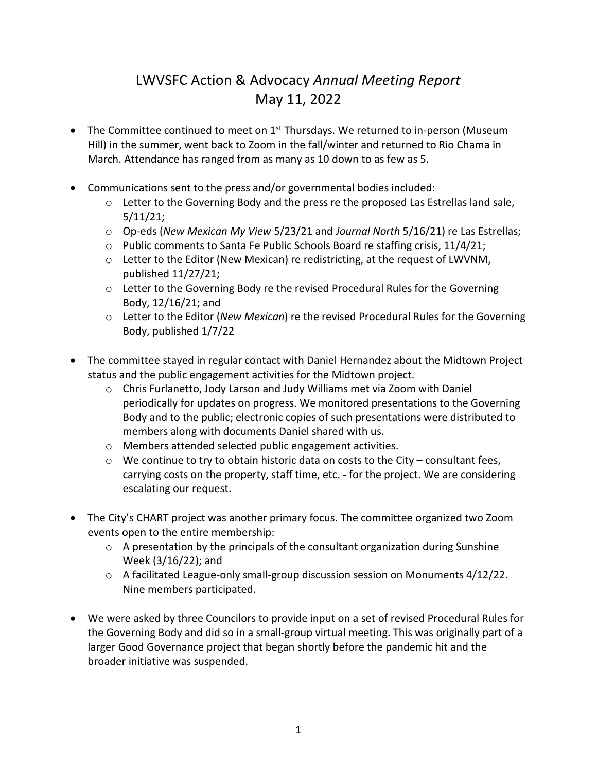## LWVSFC Action & Advocacy *Annual Meeting Report* May 11, 2022

- The Committee continued to meet on 1<sup>st</sup> Thursdays. We returned to in-person (Museum Hill) in the summer, went back to Zoom in the fall/winter and returned to Rio Chama in March. Attendance has ranged from as many as 10 down to as few as 5.
- Communications sent to the press and/or governmental bodies included:
	- $\circ$  Letter to the Governing Body and the press re the proposed Las Estrellas land sale, 5/11/21;
	- o Op-eds (*New Mexican My View* 5/23/21 and *Journal North* 5/16/21) re Las Estrellas;
	- $\circ$  Public comments to Santa Fe Public Schools Board re staffing crisis, 11/4/21;
	- $\circ$  Letter to the Editor (New Mexican) re redistricting, at the request of LWVNM, published 11/27/21;
	- $\circ$  Letter to the Governing Body re the revised Procedural Rules for the Governing Body, 12/16/21; and
	- o Letter to the Editor (*New Mexican*) re the revised Procedural Rules for the Governing Body, published 1/7/22
- The committee stayed in regular contact with Daniel Hernandez about the Midtown Project status and the public engagement activities for the Midtown project.
	- $\circ$  Chris Furlanetto, Jody Larson and Judy Williams met via Zoom with Daniel periodically for updates on progress. We monitored presentations to the Governing Body and to the public; electronic copies of such presentations were distributed to members along with documents Daniel shared with us.
	- o Members attended selected public engagement activities.
	- $\circ$  We continue to try to obtain historic data on costs to the City consultant fees, carrying costs on the property, staff time, etc. - for the project. We are considering escalating our request.
- The City's CHART project was another primary focus. The committee organized two Zoom events open to the entire membership:
	- o A presentation by the principals of the consultant organization during Sunshine Week (3/16/22); and
	- $\circ$  A facilitated League-only small-group discussion session on Monuments 4/12/22. Nine members participated.
- We were asked by three Councilors to provide input on a set of revised Procedural Rules for the Governing Body and did so in a small-group virtual meeting. This was originally part of a larger Good Governance project that began shortly before the pandemic hit and the broader initiative was suspended.